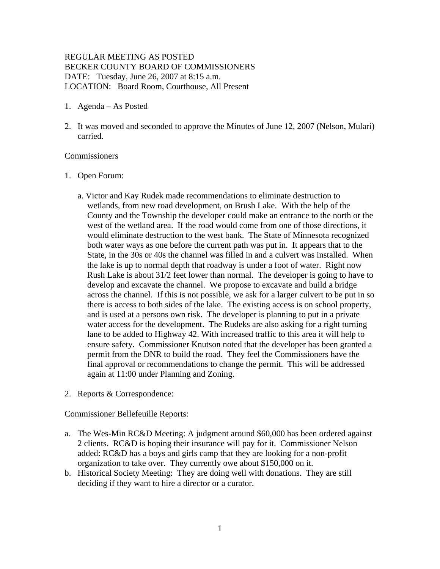# REGULAR MEETING AS POSTED BECKER COUNTY BOARD OF COMMISSIONERS DATE: Tuesday, June 26, 2007 at 8:15 a.m. LOCATION: Board Room, Courthouse, All Present

- 1. Agenda As Posted
- 2. It was moved and seconded to approve the Minutes of June 12, 2007 (Nelson, Mulari) carried.

#### Commissioners

- 1. Open Forum:
	- a. Victor and Kay Rudek made recommendations to eliminate destruction to wetlands, from new road development, on Brush Lake. With the help of the County and the Township the developer could make an entrance to the north or the west of the wetland area. If the road would come from one of those directions, it would eliminate destruction to the west bank. The State of Minnesota recognized both water ways as one before the current path was put in. It appears that to the State, in the 30s or 40s the channel was filled in and a culvert was installed. When the lake is up to normal depth that roadway is under a foot of water. Right now Rush Lake is about 31/2 feet lower than normal. The developer is going to have to develop and excavate the channel. We propose to excavate and build a bridge across the channel. If this is not possible, we ask for a larger culvert to be put in so there is access to both sides of the lake. The existing access is on school property, and is used at a persons own risk. The developer is planning to put in a private water access for the development. The Rudeks are also asking for a right turning lane to be added to Highway 42. With increased traffic to this area it will help to ensure safety. Commissioner Knutson noted that the developer has been granted a permit from the DNR to build the road. They feel the Commissioners have the final approval or recommendations to change the permit. This will be addressed again at 11:00 under Planning and Zoning.
- 2. Reports & Correspondence:

Commissioner Bellefeuille Reports:

- a. The Wes-Min RC&D Meeting: A judgment around \$60,000 has been ordered against 2 clients. RC&D is hoping their insurance will pay for it. Commissioner Nelson added: RC&D has a boys and girls camp that they are looking for a non-profit organization to take over. They currently owe about \$150,000 on it.
- b. Historical Society Meeting: They are doing well with donations. They are still deciding if they want to hire a director or a curator.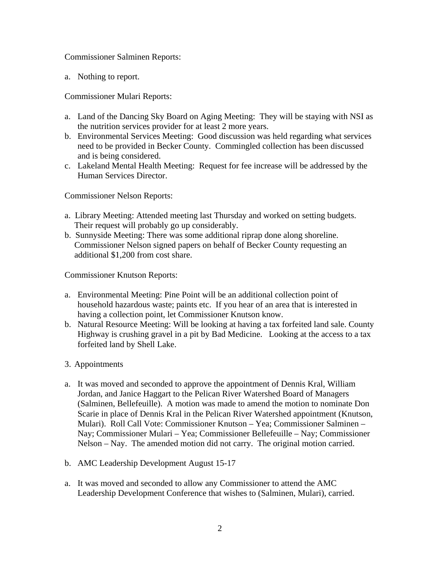Commissioner Salminen Reports:

a. Nothing to report.

Commissioner Mulari Reports:

- a. Land of the Dancing Sky Board on Aging Meeting: They will be staying with NSI as the nutrition services provider for at least 2 more years.
- b. Environmental Services Meeting: Good discussion was held regarding what services need to be provided in Becker County. Commingled collection has been discussed and is being considered.
- c. Lakeland Mental Health Meeting: Request for fee increase will be addressed by the Human Services Director.

Commissioner Nelson Reports:

- a. Library Meeting: Attended meeting last Thursday and worked on setting budgets. Their request will probably go up considerably.
- b. Sunnyside Meeting: There was some additional riprap done along shoreline. Commissioner Nelson signed papers on behalf of Becker County requesting an additional \$1,200 from cost share.

Commissioner Knutson Reports:

- a. Environmental Meeting: Pine Point will be an additional collection point of household hazardous waste; paints etc. If you hear of an area that is interested in having a collection point, let Commissioner Knutson know.
- b. Natural Resource Meeting: Will be looking at having a tax forfeited land sale. County Highway is crushing gravel in a pit by Bad Medicine. Looking at the access to a tax forfeited land by Shell Lake.
- 3. Appointments
- a. It was moved and seconded to approve the appointment of Dennis Kral, William Jordan, and Janice Haggart to the Pelican River Watershed Board of Managers (Salminen, Bellefeuille). A motion was made to amend the motion to nominate Don Scarie in place of Dennis Kral in the Pelican River Watershed appointment (Knutson, Mulari). Roll Call Vote: Commissioner Knutson – Yea; Commissioner Salminen – Nay; Commissioner Mulari – Yea; Commissioner Bellefeuille – Nay; Commissioner Nelson – Nay. The amended motion did not carry. The original motion carried.
- b. AMC Leadership Development August 15-17
- a. It was moved and seconded to allow any Commissioner to attend the AMC Leadership Development Conference that wishes to (Salminen, Mulari), carried.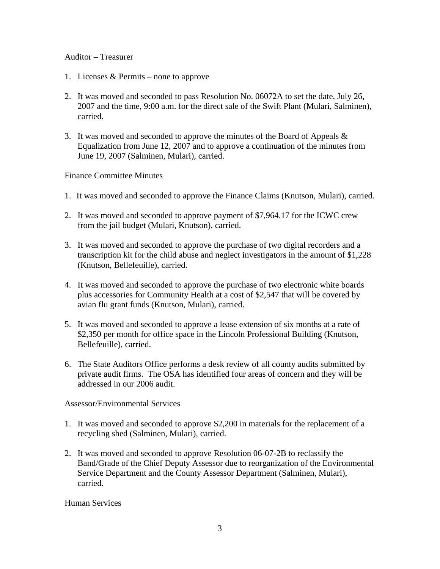#### Auditor – Treasurer

- 1. Licenses & Permits none to approve
- 2. It was moved and seconded to pass Resolution No. 06072A to set the date, July 26, 2007 and the time, 9:00 a.m. for the direct sale of the Swift Plant (Mulari, Salminen), carried.
- 3. It was moved and seconded to approve the minutes of the Board of Appeals & Equalization from June 12, 2007 and to approve a continuation of the minutes from June 19, 2007 (Salminen, Mulari), carried.

Finance Committee Minutes

- 1. It was moved and seconded to approve the Finance Claims (Knutson, Mulari), carried.
- 2. It was moved and seconded to approve payment of \$7,964.17 for the ICWC crew from the jail budget (Mulari, Knutson), carried.
- 3. It was moved and seconded to approve the purchase of two digital recorders and a transcription kit for the child abuse and neglect investigators in the amount of \$1,228 (Knutson, Bellefeuille), carried.
- 4. It was moved and seconded to approve the purchase of two electronic white boards plus accessories for Community Health at a cost of \$2,547 that will be covered by avian flu grant funds (Knutson, Mulari), carried.
- 5. It was moved and seconded to approve a lease extension of six months at a rate of \$2,350 per month for office space in the Lincoln Professional Building (Knutson, Bellefeuille), carried.
- 6. The State Auditors Office performs a desk review of all county audits submitted by private audit firms. The OSA has identified four areas of concern and they will be addressed in our 2006 audit.

Assessor/Environmental Services

- 1. It was moved and seconded to approve \$2,200 in materials for the replacement of a recycling shed (Salminen, Mulari), carried.
- 2. It was moved and seconded to approve Resolution 06-07-2B to reclassify the Band/Grade of the Chief Deputy Assessor due to reorganization of the Environmental Service Department and the County Assessor Department (Salminen, Mulari), carried.

Human Services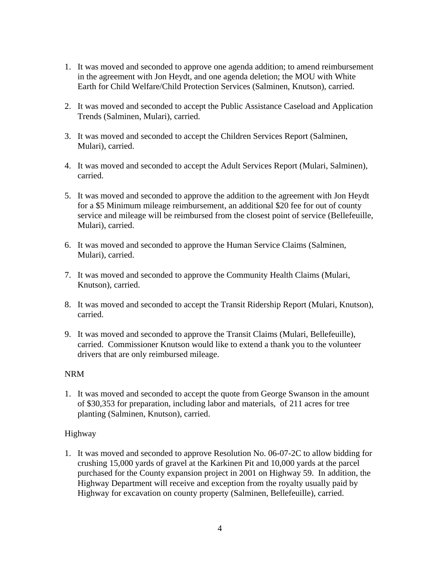- 1. It was moved and seconded to approve one agenda addition; to amend reimbursement in the agreement with Jon Heydt, and one agenda deletion; the MOU with White Earth for Child Welfare/Child Protection Services (Salminen, Knutson), carried.
- 2. It was moved and seconded to accept the Public Assistance Caseload and Application Trends (Salminen, Mulari), carried.
- 3. It was moved and seconded to accept the Children Services Report (Salminen, Mulari), carried.
- 4. It was moved and seconded to accept the Adult Services Report (Mulari, Salminen), carried.
- 5. It was moved and seconded to approve the addition to the agreement with Jon Heydt for a \$5 Minimum mileage reimbursement, an additional \$20 fee for out of county service and mileage will be reimbursed from the closest point of service (Bellefeuille, Mulari), carried.
- 6. It was moved and seconded to approve the Human Service Claims (Salminen, Mulari), carried.
- 7. It was moved and seconded to approve the Community Health Claims (Mulari, Knutson), carried.
- 8. It was moved and seconded to accept the Transit Ridership Report (Mulari, Knutson), carried.
- 9. It was moved and seconded to approve the Transit Claims (Mulari, Bellefeuille), carried. Commissioner Knutson would like to extend a thank you to the volunteer drivers that are only reimbursed mileage.

# NRM

1. It was moved and seconded to accept the quote from George Swanson in the amount of \$30,353 for preparation, including labor and materials, of 211 acres for tree planting (Salminen, Knutson), carried.

# Highway

1. It was moved and seconded to approve Resolution No. 06-07-2C to allow bidding for crushing 15,000 yards of gravel at the Karkinen Pit and 10,000 yards at the parcel purchased for the County expansion project in 2001 on Highway 59. In addition, the Highway Department will receive and exception from the royalty usually paid by Highway for excavation on county property (Salminen, Bellefeuille), carried.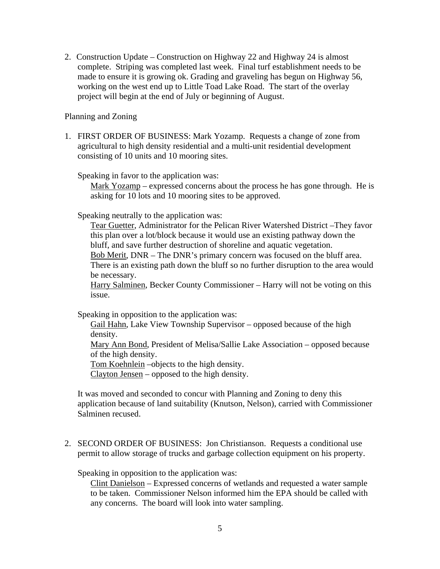2. Construction Update – Construction on Highway 22 and Highway 24 is almost complete. Striping was completed last week. Final turf establishment needs to be made to ensure it is growing ok. Grading and graveling has begun on Highway 56, working on the west end up to Little Toad Lake Road. The start of the overlay project will begin at the end of July or beginning of August.

Planning and Zoning

1. FIRST ORDER OF BUSINESS: Mark Yozamp. Requests a change of zone from agricultural to high density residential and a multi-unit residential development consisting of 10 units and 10 mooring sites.

Speaking in favor to the application was:

Mark Yozamp – expressed concerns about the process he has gone through. He is asking for 10 lots and 10 mooring sites to be approved.

Speaking neutrally to the application was:

Tear Guetter, Administrator for the Pelican River Watershed District –They favor this plan over a lot/block because it would use an existing pathway down the bluff, and save further destruction of shoreline and aquatic vegetation.

Bob Merit, DNR – The DNR's primary concern was focused on the bluff area. There is an existing path down the bluff so no further disruption to the area would be necessary.

Harry Salminen, Becker County Commissioner – Harry will not be voting on this issue.

Speaking in opposition to the application was:

Gail Hahn, Lake View Township Supervisor – opposed because of the high density.

Mary Ann Bond, President of Melisa/Sallie Lake Association – opposed because of the high density.

Tom Koehnlein –objects to the high density.

Clayton Jensen – opposed to the high density.

It was moved and seconded to concur with Planning and Zoning to deny this application because of land suitability (Knutson, Nelson), carried with Commissioner Salminen recused.

2. SECOND ORDER OF BUSINESS: Jon Christianson. Requests a conditional use permit to allow storage of trucks and garbage collection equipment on his property.

Speaking in opposition to the application was:

Clint Danielson – Expressed concerns of wetlands and requested a water sample to be taken. Commissioner Nelson informed him the EPA should be called with any concerns. The board will look into water sampling.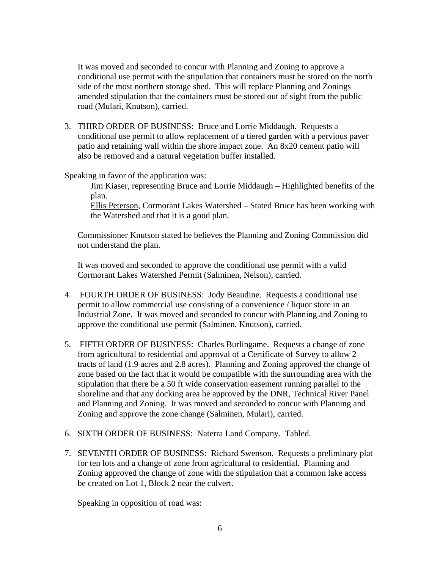It was moved and seconded to concur with Planning and Zoning to approve a conditional use permit with the stipulation that containers must be stored on the north side of the most northern storage shed. This will replace Planning and Zonings amended stipulation that the containers must be stored out of sight from the public road (Mulari, Knutson), carried.

3. THIRD ORDER OF BUSINESS: Bruce and Lorrie Middaugh. Requests a conditional use permit to allow replacement of a tiered garden with a pervious paver patio and retaining wall within the shore impact zone. An 8x20 cement patio will also be removed and a natural vegetation buffer installed.

Speaking in favor of the application was:

Jim Kiaser, representing Bruce and Lorrie Middaugh – Highlighted benefits of the plan.

Ellis Peterson, Cormorant Lakes Watershed – Stated Bruce has been working with the Watershed and that it is a good plan.

Commissioner Knutson stated he believes the Planning and Zoning Commission did not understand the plan.

It was moved and seconded to approve the conditional use permit with a valid Cormorant Lakes Watershed Permit (Salminen, Nelson), carried.

- 4. FOURTH ORDER OF BUSINESS: Jody Beaudine. Requests a conditional use permit to allow commercial use consisting of a convenience / liquor store in an Industrial Zone. It was moved and seconded to concur with Planning and Zoning to approve the conditional use permit (Salminen, Knutson), carried.
- 5. FIFTH ORDER OF BUSINESS: Charles Burlingame. Requests a change of zone from agricultural to residential and approval of a Certificate of Survey to allow 2 tracts of land (1.9 acres and 2.8 acres). Planning and Zoning approved the change of zone based on the fact that it would be compatible with the surrounding area with the stipulation that there be a 50 ft wide conservation easement running parallel to the shoreline and that any docking area be approved by the DNR, Technical River Panel and Planning and Zoning. It was moved and seconded to concur with Planning and Zoning and approve the zone change (Salminen, Mulari), carried.
- 6. SIXTH ORDER OF BUSINESS: Naterra Land Company. Tabled.
- 7. SEVENTH ORDER OF BUSINESS: Richard Swenson. Requests a preliminary plat for ten lots and a change of zone from agricultural to residential. Planning and Zoning approved the change of zone with the stipulation that a common lake access be created on Lot 1, Block 2 near the culvert.

Speaking in opposition of road was: